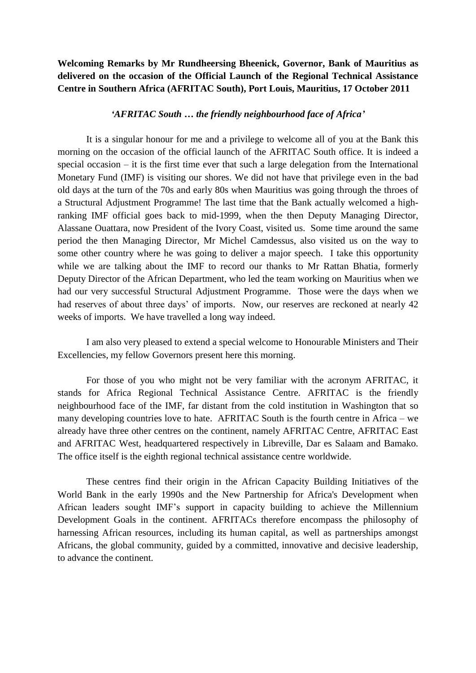## **Welcoming Remarks by Mr Rundheersing Bheenick, Governor, Bank of Mauritius as delivered on the occasion of the Official Launch of the Regional Technical Assistance Centre in Southern Africa (AFRITAC South), Port Louis, Mauritius, 17 October 2011**

## *'AFRITAC South … the friendly neighbourhood face of Africa'*

It is a singular honour for me and a privilege to welcome all of you at the Bank this morning on the occasion of the official launch of the AFRITAC South office. It is indeed a special occasion – it is the first time ever that such a large delegation from the International Monetary Fund (IMF) is visiting our shores. We did not have that privilege even in the bad old days at the turn of the 70s and early 80s when Mauritius was going through the throes of a Structural Adjustment Programme! The last time that the Bank actually welcomed a highranking IMF official goes back to mid-1999, when the then Deputy Managing Director, Alassane Ouattara, now President of the Ivory Coast, visited us. Some time around the same period the then Managing Director, Mr Michel Camdessus, also visited us on the way to some other country where he was going to deliver a major speech. I take this opportunity while we are talking about the IMF to record our thanks to Mr Rattan Bhatia, formerly Deputy Director of the African Department, who led the team working on Mauritius when we had our very successful Structural Adjustment Programme. Those were the days when we had reserves of about three days' of imports. Now, our reserves are reckoned at nearly 42 weeks of imports. We have travelled a long way indeed.

I am also very pleased to extend a special welcome to Honourable Ministers and Their Excellencies, my fellow Governors present here this morning.

For those of you who might not be very familiar with the acronym AFRITAC, it stands for Africa Regional Technical Assistance Centre. AFRITAC is the friendly neighbourhood face of the IMF, far distant from the cold institution in Washington that so many developing countries love to hate. AFRITAC South is the fourth centre in Africa – we already have three other centres on the continent, namely AFRITAC Centre, AFRITAC East and AFRITAC West, headquartered respectively in Libreville, Dar es Salaam and Bamako. The office itself is the eighth regional technical assistance centre worldwide.

These centres find their origin in the African Capacity Building Initiatives of the World Bank in the early 1990s and the New Partnership for Africa's Development when African leaders sought IMF's support in capacity building to achieve the Millennium Development Goals in the continent. AFRITACs therefore encompass the philosophy of harnessing African resources, including its human capital, as well as partnerships amongst Africans, the global community, guided by a committed, innovative and decisive leadership, to advance the continent.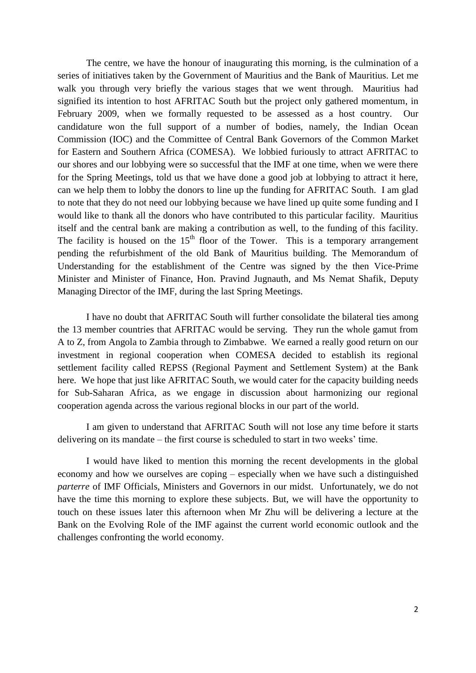The centre, we have the honour of inaugurating this morning, is the culmination of a series of initiatives taken by the Government of Mauritius and the Bank of Mauritius. Let me walk you through very briefly the various stages that we went through. Mauritius had signified its intention to host AFRITAC South but the project only gathered momentum, in February 2009, when we formally requested to be assessed as a host country. Our candidature won the full support of a number of bodies, namely, the Indian Ocean Commission (IOC) and the Committee of Central Bank Governors of the Common Market for Eastern and Southern Africa (COMESA). We lobbied furiously to attract AFRITAC to our shores and our lobbying were so successful that the IMF at one time, when we were there for the Spring Meetings, told us that we have done a good job at lobbying to attract it here, can we help them to lobby the donors to line up the funding for AFRITAC South. I am glad to note that they do not need our lobbying because we have lined up quite some funding and I would like to thank all the donors who have contributed to this particular facility. Mauritius itself and the central bank are making a contribution as well, to the funding of this facility. The facility is housed on the  $15<sup>th</sup>$  floor of the Tower. This is a temporary arrangement pending the refurbishment of the old Bank of Mauritius building. The Memorandum of Understanding for the establishment of the Centre was signed by the then Vice-Prime Minister and Minister of Finance, Hon. Pravind Jugnauth, and Ms Nemat Shafik, Deputy Managing Director of the IMF, during the last Spring Meetings.

I have no doubt that AFRITAC South will further consolidate the bilateral ties among the 13 member countries that AFRITAC would be serving. They run the whole gamut from A to Z, from Angola to Zambia through to Zimbabwe. We earned a really good return on our investment in regional cooperation when COMESA decided to establish its regional settlement facility called REPSS (Regional Payment and Settlement System) at the Bank here. We hope that just like AFRITAC South, we would cater for the capacity building needs for Sub-Saharan Africa, as we engage in discussion about harmonizing our regional cooperation agenda across the various regional blocks in our part of the world.

I am given to understand that AFRITAC South will not lose any time before it starts delivering on its mandate – the first course is scheduled to start in two weeks' time.

I would have liked to mention this morning the recent developments in the global economy and how we ourselves are coping – especially when we have such a distinguished *parterre* of IMF Officials, Ministers and Governors in our midst. Unfortunately, we do not have the time this morning to explore these subjects. But, we will have the opportunity to touch on these issues later this afternoon when Mr Zhu will be delivering a lecture at the Bank on the Evolving Role of the IMF against the current world economic outlook and the challenges confronting the world economy.